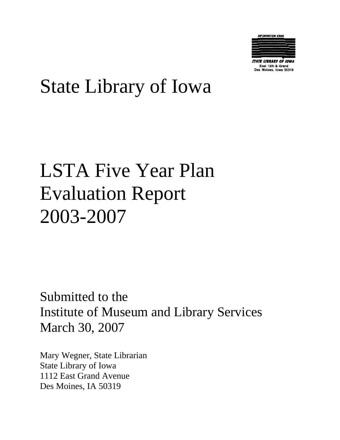

East 12th & Grand **Des Moines, Iowa 50319** 

# State Library of Iowa

# LSTA Five Year Plan Evaluation Report 2003-2007

Submitted to the Institute of Museum and Library Services March 30, 2007

Mary Wegner, State Librarian State Library of Iowa 1112 East Grand Avenue Des Moines, IA 50319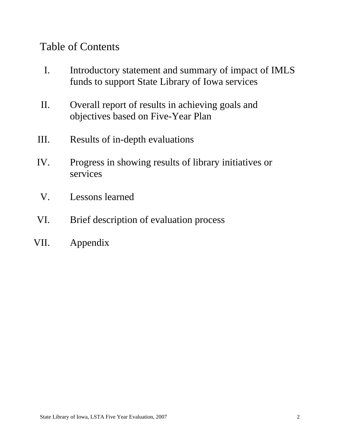# Table of Contents

- I. Introductory statement and summary of impact of IMLS funds to support State Library of Iowa services
- II. Overall report of results in achieving goals and objectives based on Five-Year Plan
- III. Results of in-depth evaluations
- IV. Progress in showing results of library initiatives or services
- V. Lessons learned
- VI. Brief description of evaluation process
- VII. Appendix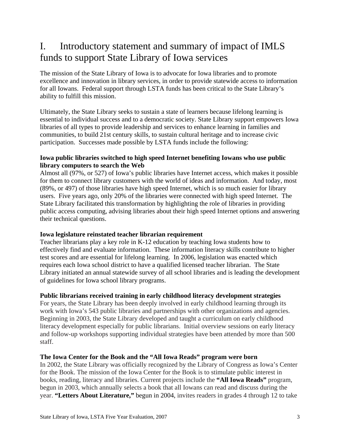# I. Introductory statement and summary of impact of IMLS funds to support State Library of Iowa services

The mission of the State Library of Iowa is to advocate for Iowa libraries and to promote excellence and innovation in library services, in order to provide statewide access to information for all Iowans. Federal support through LSTA funds has been critical to the State Library's ability to fulfill this mission.

Ultimately, the State Library seeks to sustain a state of learners because lifelong learning is essential to individual success and to a democratic society. State Library support empowers Iowa libraries of all types to provide leadership and services to enhance learning in families and communities, to build 21st century skills, to sustain cultural heritage and to increase civic participation. Successes made possible by LSTA funds include the following:

### **Iowa public libraries switched to high speed Internet benefiting Iowans who use public library computers to search the Web**

Almost all (97%, or 527) of Iowa's public libraries have Internet access, which makes it possible for them to connect library customers with the world of ideas and information. And today, most (89%, or 497) of those libraries have high speed Internet, which is so much easier for library users. Five years ago, only 20% of the libraries were connected with high speed Internet. The State Library facilitated this transformation by highlighting the role of libraries in providing public access computing, advising libraries about their high speed Internet options and answering their technical questions.

# **Iowa legislature reinstated teacher librarian requirement**

Teacher librarians play a key role in K-12 education by teaching Iowa students how to effectively find and evaluate information. These information literacy skills contribute to higher test scores and are essential for lifelong learning. In 2006, legislation was enacted which requires each Iowa school district to have a qualified licensed teacher librarian. The State Library initiated an annual statewide survey of all school libraries and is leading the development of guidelines for Iowa school library programs.

# **Public librarians received training in early childhood literacy development strategies**

For years, the State Library has been deeply involved in early childhood learning through its work with Iowa's 543 public libraries and partnerships with other organizations and agencies. Beginning in 2003, the State Library developed and taught a curriculum on early childhood literacy development especially for public librarians. Initial overview sessions on early literacy and follow-up workshops supporting individual strategies have been attended by more than 500 staff.

# **The Iowa Center for the Book and the "All Iowa Reads" program were born**

In 2002, the State Library was officially recognized by the Library of Congress as Iowa's Center for the Book. The mission of the Iowa Center for the Book is to stimulate public interest in books, reading, literacy and libraries. Current projects include the **"All Iowa Reads"** program, begun in 2003, which annually selects a book that all Iowans can read and discuss during the year. **"Letters About Literature,"** begun in 2004, invites readers in grades 4 through 12 to take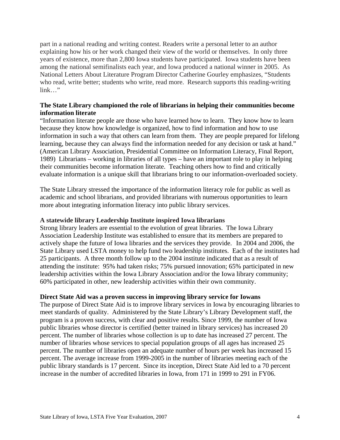part in a national reading and writing contest. Readers write a personal letter to an author explaining how his or her work changed their view of the world or themselves. In only three years of existence, more than 2,800 Iowa students have participated. Iowa students have been among the national semifinalists each year, and Iowa produced a national winner in 2005. As National Letters About Literature Program Director Catherine Gourley emphasizes, "Students who read, write better; students who write, read more. Research supports this reading-writing link…"

#### **The State Library championed the role of librarians in helping their communities become information literate**

"Information literate people are those who have learned how to learn. They know how to learn because they know how knowledge is organized, how to find information and how to use information in such a way that others can learn from them. They are people prepared for lifelong learning, because they can always find the information needed for any decision or task at hand." (American Library Association, Presidential Committee on Information Literacy, Final Report, 1989) Librarians – working in libraries of all types – have an important role to play in helping their communities become information literate. Teaching others how to find and critically evaluate information is a unique skill that librarians bring to our information-overloaded society.

The State Library stressed the importance of the information literacy role for public as well as academic and school librarians, and provided librarians with numerous opportunities to learn more about integrating information literacy into public library services.

#### **A statewide library Leadership Institute inspired Iowa librarians**

Strong library leaders are essential to the evolution of great libraries. The Iowa Library Association Leadership Institute was established to ensure that its members are prepared to actively shape the future of Iowa libraries and the services they provide. In 2004 and 2006, the State Library used LSTA money to help fund two leadership institutes. Each of the institutes had 25 participants. A three month follow up to the 2004 institute indicated that as a result of attending the institute: 95% had taken risks; 75% pursued innovation; 65% participated in new leadership activities within the Iowa Library Association and/or the Iowa library community; 60% participated in other, new leadership activities within their own community.

#### **Direct State Aid was a proven success in improving library service for Iowans**

The purpose of Direct State Aid is to improve library services in Iowa by encouraging libraries to meet standards of quality. Administered by the State Library's Library Development staff, the program is a proven success, with clear and positive results. Since 1999, the number of Iowa public libraries whose director is certified (better trained in library services) has increased 20 percent. The number of libraries whose collection is up to date has increased 27 percent. The number of libraries whose services to special population groups of all ages has increased 25 percent. The number of libraries open an adequate number of hours per week has increased 15 percent. The average increase from 1999-2005 in the number of libraries meeting each of the public library standards is 17 percent. Since its inception, Direct State Aid led to a 70 percent increase in the number of accredited libraries in Iowa, from 171 in 1999 to 291 in FY06.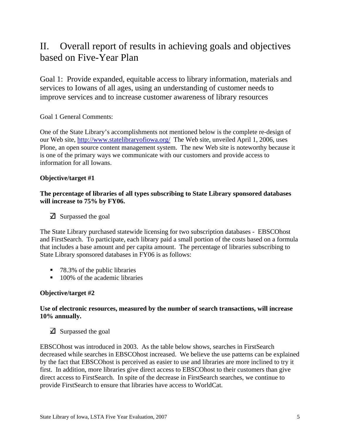# II. Overall report of results in achieving goals and objectives based on Five-Year Plan

Goal 1: Provide expanded, equitable access to library information, materials and services to Iowans of all ages, using an understanding of customer needs to improve services and to increase customer awareness of library resources

# Goal 1 General Comments:

One of the State Library's accomplishments not mentioned below is the complete re-design of our Web site, http://www.statelibraryofiowa.org/ The Web site, unveiled April 1, 2006, uses Plone, an open source content management system. The new Web site is noteworthy because it is one of the primary ways we communicate with our customers and provide access to information for all Iowans.

# **Objective/target #1**

### **The percentage of libraries of all types subscribing to State Library sponsored databases will increase to 75% by FY06.**

 $\overline{\triangle}$  Surpassed the goal

The State Library purchased statewide licensing for two subscription databases - EBSCOhost and FirstSearch. To participate, each library paid a small portion of the costs based on a formula that includes a base amount and per capita amount. The percentage of libraries subscribing to State Library sponsored databases in FY06 is as follows:

- 78.3% of the public libraries
- 100% of the academic libraries

# **Objective/target #2**

# **Use of electronic resources, measured by the number of search transactions, will increase 10% annually.**

 $\triangle$  Surpassed the goal

EBSCOhost was introduced in 2003. As the table below shows, searches in FirstSearch decreased while searches in EBSCOhost increased. We believe the use patterns can be explained by the fact that EBSCOhost is perceived as easier to use and libraries are more inclined to try it first. In addition, more libraries give direct access to EBSCOhost to their customers than give direct access to FirstSearch. In spite of the decrease in FirstSearch searches, we continue to provide FirstSearch to ensure that libraries have access to WorldCat.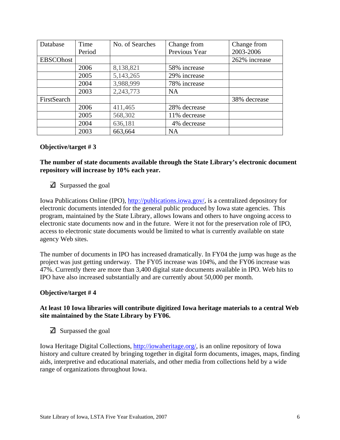| Database         | Time   | No. of Searches | Change from   | Change from   |
|------------------|--------|-----------------|---------------|---------------|
|                  | Period |                 | Previous Year | 2003-2006     |
| <b>EBSCOhost</b> |        |                 |               | 262% increase |
|                  | 2006   | 8,138,821       | 58% increase  |               |
|                  | 2005   | 5,143,265       | 29% increase  |               |
|                  | 2004   | 3,988,999       | 78% increase  |               |
|                  | 2003   | 2,243,773       | <b>NA</b>     |               |
| FirstSearch      |        |                 |               | 38% decrease  |
|                  | 2006   | 411,465         | 28% decrease  |               |
|                  | 2005   | 568,302         | 11% decrease  |               |
|                  | 2004   | 636,181         | 4% decrease   |               |
|                  | 2003   | 663,664         | <b>NA</b>     |               |

**The number of state documents available through the State Library's electronic document repository will increase by 10% each year.** 

#### $\triangle$  Surpassed the goal

Iowa Publications Online (IPO), http://publications.iowa.gov/, is a centralized depository for electronic documents intended for the general public produced by Iowa state agencies. This program, maintained by the State Library, allows Iowans and others to have ongoing access to electronic state documents now and in the future. Were it not for the preservation role of IPO, access to electronic state documents would be limited to what is currently available on state agency Web sites.

The number of documents in IPO has increased dramatically. In FY04 the jump was huge as the project was just getting underway. The FY05 increase was 104%, and the FY06 increase was 47%. Currently there are more than 3,400 digital state documents available in IPO. Web hits to IPO have also increased substantially and are currently about 50,000 per month.

#### **Objective/target # 4**

#### **At least 10 Iowa libraries will contribute digitized Iowa heritage materials to a central Web site maintained by the State Library by FY06.**

 $\overline{\mathbf{A}}$  Surpassed the goal

Iowa Heritage Digital Collections, http://iowaheritage.org/, is an online repository of Iowa history and culture created by bringing together in digital form documents, images, maps, finding aids, interpretive and educational materials, and other media from collections held by a wide range of organizations throughout Iowa.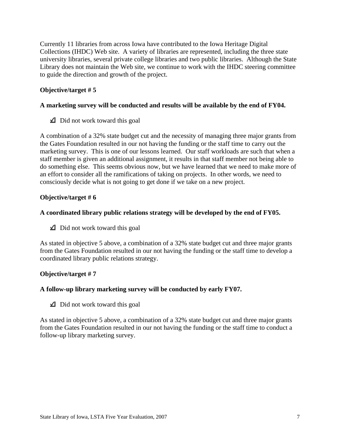Currently 11 libraries from across Iowa have contributed to the Iowa Heritage Digital Collections (IHDC) Web site. A variety of libraries are represented, including the three state university libraries, several private college libraries and two public libraries. Although the State Library does not maintain the Web site, we continue to work with the IHDC steering committee to guide the direction and growth of the project.

### **Objective/target # 5**

#### **A marketing survey will be conducted and results will be available by the end of FY04.**

 $\triangle$  Did not work toward this goal

A combination of a 32% state budget cut and the necessity of managing three major grants from the Gates Foundation resulted in our not having the funding or the staff time to carry out the marketing survey. This is one of our lessons learned. Our staff workloads are such that when a staff member is given an additional assignment, it results in that staff member not being able to do something else. This seems obvious now, but we have learned that we need to make more of an effort to consider all the ramifications of taking on projects. In other words, we need to consciously decide what is not going to get done if we take on a new project.

#### **Objective/target # 6**

#### **A coordinated library public relations strategy will be developed by the end of FY05.**

 $\triangle$  Did not work toward this goal

As stated in objective 5 above, a combination of a 32% state budget cut and three major grants from the Gates Foundation resulted in our not having the funding or the staff time to develop a coordinated library public relations strategy.

#### **Objective/target # 7**

#### **A follow-up library marketing survey will be conducted by early FY07.**

 $\triangle$  Did not work toward this goal

As stated in objective 5 above, a combination of a 32% state budget cut and three major grants from the Gates Foundation resulted in our not having the funding or the staff time to conduct a follow-up library marketing survey.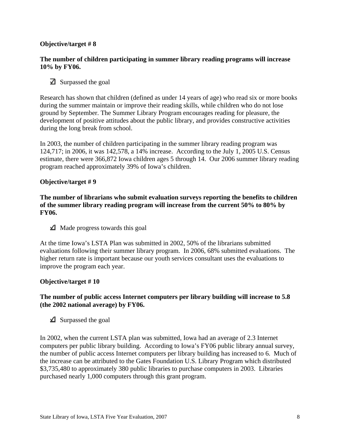#### **The number of children participating in summer library reading programs will increase 10% by FY06.**

# $\triangle$  Surpassed the goal

Research has shown that children (defined as under 14 years of age) who read six or more books during the summer maintain or improve their reading skills, while children who do not lose ground by September. The Summer Library Program encourages reading for pleasure, the development of positive attitudes about the public library, and provides constructive activities during the long break from school.

In 2003, the number of children participating in the summer library reading program was 124,717; in 2006, it was 142,578, a 14% increase. According to the July 1, 2005 U.S. Census estimate, there were 366,872 Iowa children ages 5 through 14. Our 2006 summer library reading program reached approximately 39% of Iowa's children.

#### **Objective/target # 9**

**The number of librarians who submit evaluation surveys reporting the benefits to children of the summer library reading program will increase from the current 50% to 80% by FY06.** 

 $\triangle$  Made progress towards this goal

At the time Iowa's LSTA Plan was submitted in 2002, 50% of the librarians submitted evaluations following their summer library program. In 2006, 68% submitted evaluations. The higher return rate is important because our youth services consultant uses the evaluations to improve the program each year.

#### **Objective/target # 10**

#### **The number of public access Internet computers per library building will increase to 5.8 (the 2002 national average) by FY06.**

 $\triangle$  Surpassed the goal

In 2002, when the current LSTA plan was submitted, Iowa had an average of 2.3 Internet computers per public library building. According to Iowa's FY06 public library annual survey, the number of public access Internet computers per library building has increased to 6. Much of the increase can be attributed to the Gates Foundation U.S. Library Program which distributed \$3,735,480 to approximately 380 public libraries to purchase computers in 2003. Libraries purchased nearly 1,000 computers through this grant program.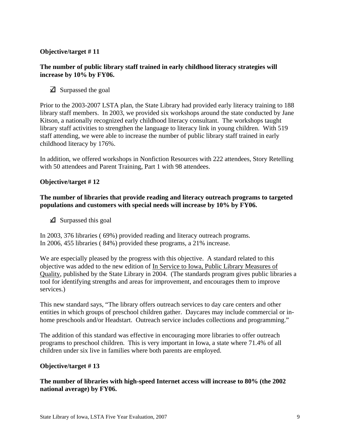#### **The number of public library staff trained in early childhood literacy strategies will increase by 10% by FY06.**

 $\overline{\triangle}$  Surpassed the goal

Prior to the 2003-2007 LSTA plan, the State Library had provided early literacy training to 188 library staff members. In 2003, we provided six workshops around the state conducted by Jane Kitson, a nationally recognized early childhood literacy consultant. The workshops taught library staff activities to strengthen the language to literacy link in young children. With 519 staff attending, we were able to increase the number of public library staff trained in early childhood literacy by 176%.

In addition, we offered workshops in Nonfiction Resources with 222 attendees, Story Retelling with 50 attendees and Parent Training, Part 1 with 98 attendees.

#### **Objective/target # 12**

#### **The number of libraries that provide reading and literacy outreach programs to targeted populations and customers with special needs will increase by 10% by FY06.**

 $\triangle$  Surpassed this goal

In 2003, 376 libraries ( 69%) provided reading and literacy outreach programs. In 2006, 455 libraries ( 84%) provided these programs, a 21% increase.

We are especially pleased by the progress with this objective. A standard related to this objective was added to the new edition of In Service to Iowa, Public Library Measures of Quality, published by the State Library in 2004. (The standards program gives public libraries a tool for identifying strengths and areas for improvement, and encourages them to improve services.)

This new standard says, "The library offers outreach services to day care centers and other entities in which groups of preschool children gather. Daycares may include commercial or inhome preschools and/or Headstart. Outreach service includes collections and programming."

The addition of this standard was effective in encouraging more libraries to offer outreach programs to preschool children. This is very important in Iowa, a state where 71.4% of all children under six live in families where both parents are employed.

#### **Objective/target # 13**

**The number of libraries with high-speed Internet access will increase to 80% (the 2002 national average) by FY06.**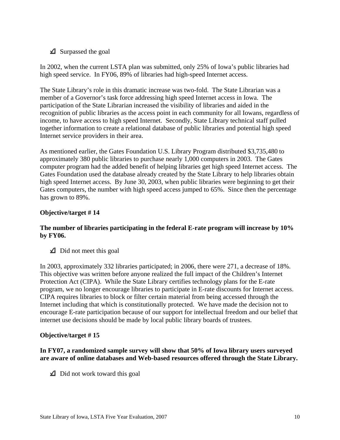# $\triangle$  Surpassed the goal

In 2002, when the current LSTA plan was submitted, only 25% of Iowa's public libraries had high speed service. In FY06, 89% of libraries had high-speed Internet access.

The State Library's role in this dramatic increase was two-fold. The State Librarian was a member of a Governor's task force addressing high speed Internet access in Iowa. The participation of the State Librarian increased the visibility of libraries and aided in the recognition of public libraries as the access point in each community for all Iowans, regardless of income, to have access to high speed Internet. Secondly, State Library technical staff pulled together information to create a relational database of public libraries and potential high speed Internet service providers in their area.

As mentioned earlier, the Gates Foundation U.S. Library Program distributed \$3,735,480 to approximately 380 public libraries to purchase nearly 1,000 computers in 2003. The Gates computer program had the added benefit of helping libraries get high speed Internet access. The Gates Foundation used the database already created by the State Library to help libraries obtain high speed Internet access. By June 30, 2003, when public libraries were beginning to get their Gates computers, the number with high speed access jumped to 65%. Since then the percentage has grown to 89%.

# **Objective/target # 14**

# **The number of libraries participating in the federal E-rate program will increase by 10% by FY06.**

 $\triangle$  Did not meet this goal

In 2003, approximately 332 libraries participated; in 2006, there were 271, a decrease of 18%. This objective was written before anyone realized the full impact of the Children's Internet Protection Act (CIPA). While the State Library certifies technology plans for the E-rate program, we no longer encourage libraries to participate in E-rate discounts for Internet access. CIPA requires libraries to block or filter certain material from being accessed through the Internet including that which is constitutionally protected. We have made the decision not to encourage E-rate participation because of our support for intellectual freedom and our belief that internet use decisions should be made by local public library boards of trustees.

# **Objective/target # 15**

# **In FY07, a randomized sample survey will show that 50% of Iowa library users surveyed are aware of online databases and Web-based resources offered through the State Library.**

 $\triangle$  Did not work toward this goal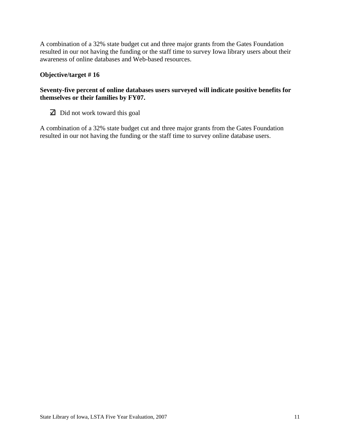A combination of a 32% state budget cut and three major grants from the Gates Foundation resulted in our not having the funding or the staff time to survey Iowa library users about their awareness of online databases and Web-based resources.

# **Objective/target # 16**

# **Seventy-five percent of online databases users surveyed will indicate positive benefits for themselves or their families by FY07.**

 $\Box$  Did not work toward this goal

A combination of a 32% state budget cut and three major grants from the Gates Foundation resulted in our not having the funding or the staff time to survey online database users.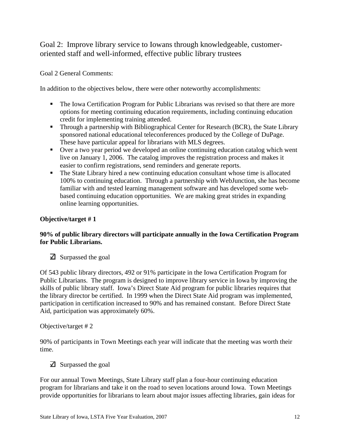Goal 2: Improve library service to Iowans through knowledgeable, customeroriented staff and well-informed, effective public library trustees

Goal 2 General Comments:

In addition to the objectives below, there were other noteworthy accomplishments:

- The Iowa Certification Program for Public Librarians was revised so that there are more options for meeting continuing education requirements, including continuing education credit for implementing training attended.
- **Through a partnership with Bibliographical Center for Research (BCR), the State Library** sponsored national educational teleconferences produced by the College of DuPage. These have particular appeal for librarians with MLS degrees.
- Over a two year period we developed an online continuing education catalog which went live on January 1, 2006. The catalog improves the registration process and makes it easier to confirm registrations, send reminders and generate reports.
- The State Library hired a new continuing education consultant whose time is allocated 100% to continuing education. Through a partnership with WebJunction, she has become familiar with and tested learning management software and has developed some webbased continuing education opportunities. We are making great strides in expanding online learning opportunities.

# **Objective/target # 1**

# **90% of public library directors will participate annually in the Iowa Certification Program for Public Librarians.**

 $\triangle$  Surpassed the goal

Of 543 public library directors, 492 or 91% participate in the Iowa Certification Program for Public Librarians. The program is designed to improve library service in Iowa by improving the skills of public library staff. Iowa's Direct State Aid program for public libraries requires that the library director be certified. In 1999 when the Direct State Aid program was implemented, participation in certification increased to 90% and has remained constant. Before Direct State Aid, participation was approximately 60%.

Objective/target # 2

90% of participants in Town Meetings each year will indicate that the meeting was worth their time.

 $\overline{\mathbf{A}}$  Surpassed the goal

For our annual Town Meetings, State Library staff plan a four-hour continuing education program for librarians and take it on the road to seven locations around Iowa. Town Meetings provide opportunities for librarians to learn about major issues affecting libraries, gain ideas for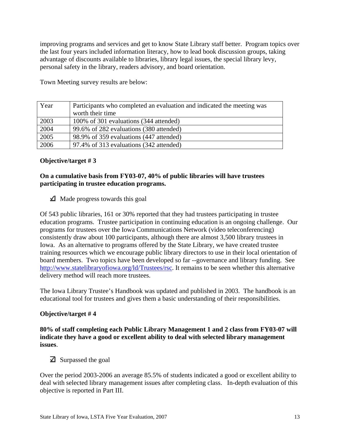improving programs and services and get to know State Library staff better. Program topics over the last four years included information literacy, how to lead book discussion groups, taking advantage of discounts available to libraries, library legal issues, the special library levy, personal safety in the library, readers advisory, and board orientation.

| Year | Participants who completed an evaluation and indicated the meeting was<br>worth their time |
|------|--------------------------------------------------------------------------------------------|
| 2003 | 100% of 301 evaluations (344 attended)                                                     |
| 2004 | 99.6% of 282 evaluations (380 attended)                                                    |
| 2005 | 98.9% of 359 evaluations (447 attended)                                                    |
| 2006 | 97.4% of 313 evaluations (342 attended)                                                    |

Town Meeting survey results are below:

#### **Objective/target # 3**

#### **On a cumulative basis from FY03-07, 40% of public libraries will have trustees participating in trustee education programs.**

 $\triangle$  Made progress towards this goal

Of 543 public libraries, 161 or 30% reported that they had trustees participating in trustee education programs. Trustee participation in continuing education is an ongoing challenge. Our programs for trustees over the Iowa Communications Network (video teleconferencing) consistently draw about 100 participants, although there are almost 3,500 library trustees in Iowa. As an alternative to programs offered by the State Library, we have created trustee training resources which we encourage public library directors to use in their local orientation of board members. Two topics have been developed so far --governance and library funding. See http://www.statelibraryofiowa.org/ld/Trustees/rsc. It remains to be seen whether this alternative delivery method will reach more trustees.

The Iowa Library Trustee's Handbook was updated and published in 2003. The handbook is an educational tool for trustees and gives them a basic understanding of their responsibilities.

# **Objective/target # 4**

**80% of staff completing each Public Library Management 1 and 2 class from FY03-07 will indicate they have a good or excellent ability to deal with selected library management issues**.

 $\triangle$  Surpassed the goal

Over the period 2003-2006 an average 85.5% of students indicated a good or excellent ability to deal with selected library management issues after completing class. In-depth evaluation of this objective is reported in Part III.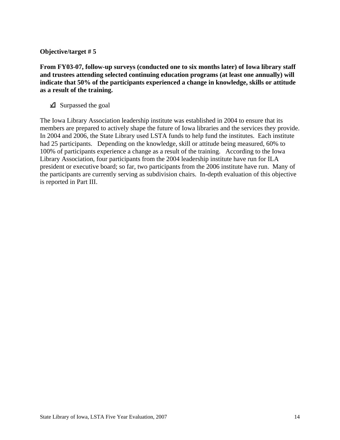**From FY03-07, follow-up surveys (conducted one to six months later) of Iowa library staff and trustees attending selected continuing education programs (at least one annually) will indicate that 50% of the participants experienced a change in knowledge, skills or attitude as a result of the training.** 

 $\triangle$  Surpassed the goal

The Iowa Library Association leadership institute was established in 2004 to ensure that its members are prepared to actively shape the future of Iowa libraries and the services they provide. In 2004 and 2006, the State Library used LSTA funds to help fund the institutes. Each institute had 25 participants. Depending on the knowledge, skill or attitude being measured, 60% to 100% of participants experience a change as a result of the training. According to the Iowa Library Association, four participants from the 2004 leadership institute have run for ILA president or executive board; so far, two participants from the 2006 institute have run. Many of the participants are currently serving as subdivision chairs. In-depth evaluation of this objective is reported in Part III.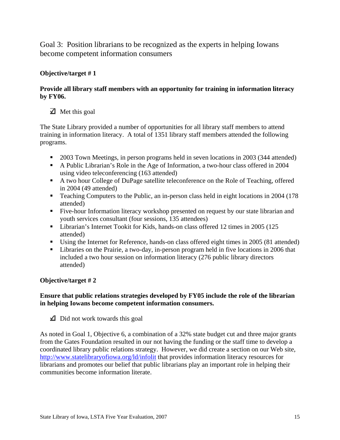Goal 3: Position librarians to be recognized as the experts in helping Iowans become competent information consumers

# **Objective/target # 1**

# **Provide all library staff members with an opportunity for training in information literacy by FY06.**

# $\blacktriangleright$  Met this goal

The State Library provided a number of opportunities for all library staff members to attend training in information literacy. A total of 1351 library staff members attended the following programs.

- <sup>2003</sup> Town Meetings, in person programs held in seven locations in 2003 (344 attended)
- A Public Librarian's Role in the Age of Information, a two-hour class offered in 2004 using video teleconferencing (163 attended)
- A two hour College of DuPage satellite teleconference on the Role of Teaching, offered in 2004 (49 attended)
- Teaching Computers to the Public, an in-person class held in eight locations in 2004 (178) attended)
- Five-hour Information literacy workshop presented on request by our state librarian and youth services consultant (four sessions, 135 attendees)
- **Librarian's Internet Tookit for Kids, hands-on class offered 12 times in 2005 (125** attended)
- Using the Internet for Reference, hands-on class offered eight times in 2005 (81 attended)
- **Libraries on the Prairie, a two-day, in-person program held in five locations in 2006 that** included a two hour session on information literacy (276 public library directors attended)

# **Objective/target # 2**

# **Ensure that public relations strategies developed by FY05 include the role of the librarian in helping Iowans become competent information consumers.**

 $\Box$  Did not work towards this goal

As noted in Goal 1, Objective 6, a combination of a 32% state budget cut and three major grants from the Gates Foundation resulted in our not having the funding or the staff time to develop a coordinated library public relations strategy. However, we did create a section on our Web site, http://www.statelibraryofiowa.org/ld/infolit that provides information literacy resources for librarians and promotes our belief that public librarians play an important role in helping their communities become information literate.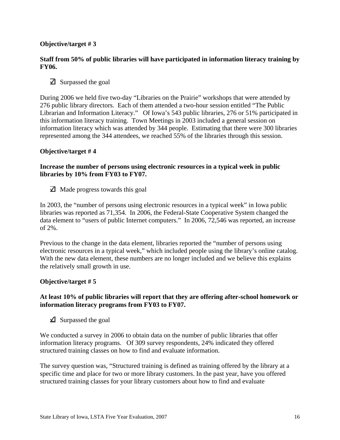#### **Staff from 50% of public libraries will have participated in information literacy training by FY06.**

 $\triangle$  Surpassed the goal

During 2006 we held five two-day "Libraries on the Prairie" workshops that were attended by 276 public library directors. Each of them attended a two-hour session entitled "The Public Librarian and Information Literacy." Of Iowa's 543 public libraries, 276 or 51% participated in this information literacy training. Town Meetings in 2003 included a general session on information literacy which was attended by 344 people. Estimating that there were 300 libraries represented among the 344 attendees, we reached 55% of the libraries through this session.

#### **Objective/target # 4**

### **Increase the number of persons using electronic resources in a typical week in public libraries by 10% from FY03 to FY07.**

 $\Box$  Made progress towards this goal

In 2003, the "number of persons using electronic resources in a typical week" in Iowa public libraries was reported as 71,354. In 2006, the Federal-State Cooperative System changed the data element to "users of public Internet computers." In 2006, 72,546 was reported, an increase of 2%.

Previous to the change in the data element, libraries reported the "number of persons using electronic resources in a typical week," which included people using the library's online catalog. With the new data element, these numbers are no longer included and we believe this explains the relatively small growth in use.

#### **Objective/target # 5**

#### **At least 10% of public libraries will report that they are offering after-school homework or information literacy programs from FY03 to FY07.**

 $\triangle$  Surpassed the goal

We conducted a survey in 2006 to obtain data on the number of public libraries that offer information literacy programs. Of 309 survey respondents, 24% indicated they offered structured training classes on how to find and evaluate information.

The survey question was, "Structured training is defined as training offered by the library at a specific time and place for two or more library customers. In the past year, have you offered structured training classes for your library customers about how to find and evaluate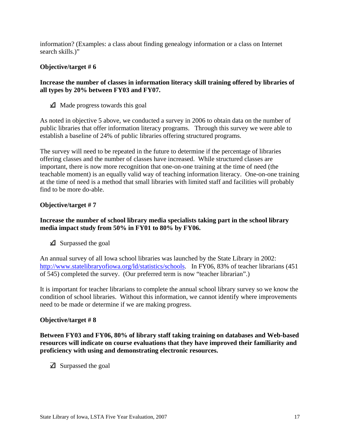information? (Examples: a class about finding genealogy information or a class on Internet search skills.)"

#### **Objective/target # 6**

#### **Increase the number of classes in information literacy skill training offered by libraries of all types by 20% between FY03 and FY07.**

 $\triangle$  Made progress towards this goal

As noted in objective 5 above, we conducted a survey in 2006 to obtain data on the number of public libraries that offer information literacy programs. Through this survey we were able to establish a baseline of 24% of public libraries offering structured programs.

The survey will need to be repeated in the future to determine if the percentage of libraries offering classes and the number of classes have increased. While structured classes are important, there is now more recognition that one-on-one training at the time of need (the teachable moment) is an equally valid way of teaching information literacy. One-on-one training at the time of need is a method that small libraries with limited staff and facilities will probably find to be more do-able.

# **Objective/target # 7**

#### **Increase the number of school library media specialists taking part in the school library media impact study from 50% in FY01 to 80% by FY06.**

 $\triangle$  Surpassed the goal

An annual survey of all Iowa school libraries was launched by the State Library in 2002: http://www.statelibraryofiowa.org/ld/statistics/schools. In FY06, 83% of teacher librarians (451 of 545) completed the survey. (Our preferred term is now "teacher librarian".)

It is important for teacher librarians to complete the annual school library survey so we know the condition of school libraries. Without this information, we cannot identify where improvements need to be made or determine if we are making progress.

#### **Objective/target # 8**

**Between FY03 and FY06, 80% of library staff taking training on databases and Web-based resources will indicate on course evaluations that they have improved their familiarity and proficiency with using and demonstrating electronic resources.** 

 $\triangle$  Surpassed the goal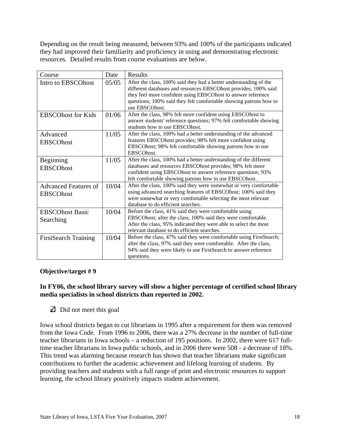Depending on the result being measured, between 93% and 100% of the participants indicated they had improved their familiarity and proficiency in using and demonstrating electronic resources. Detailed results from course evaluations are below.

| Course                                          | Date  | Results                                                                                                                                                                                                                                                                                     |
|-------------------------------------------------|-------|---------------------------------------------------------------------------------------------------------------------------------------------------------------------------------------------------------------------------------------------------------------------------------------------|
| Intro to EBSCOhost                              | 05/05 | After the class, 100% said they had a better understanding of the<br>different databases and resources EBSCOhost provides; 100% said<br>they feel more confident using EBSCOhost to answer reference<br>questions; 100% said they felt comfortable showing patrons how to<br>use EBSCOhost. |
| <b>EBSCOhost for Kids</b>                       | 01/06 | After the class, 98% felt more confident using EBSCOhost to<br>answer students' reference questions; 97% felt comfortable showing<br>students how to use EBSCOhost.                                                                                                                         |
| Advanced<br><b>EBSCOhost</b>                    | 11/05 | After the class, 100% had a better understanding of the advanced<br>features EBSCOhost provides; 98% felt more confident using<br>EBSCOhost; 98% felt comfortable showing patrons how to use<br>EBSCOhost.                                                                                  |
| Beginning<br><b>EBSCOhost</b>                   | 11/05 | After the class, 100% had a better understanding of the different<br>databases and resources EBSCOhost provides; 98% felt more<br>confident using EBSCOhost to answer reference questions; 93%<br>felt comfortable showing patrons how to use EBSCOhost.                                    |
| <b>Advanced Features of</b><br><b>EBSCOhost</b> | 10/04 | After the class, 100% said they were somewhat or very comfortable<br>using advanced searching features of EBSCOhost; 100% said they<br>were somewhat or very comfortable selecting the most relevant<br>database to do efficient searches.                                                  |
| <b>EBSCOhost Basic</b><br>Searching             | 10/04 | Before the class, 41% said they were comfortable using<br>EBSCOhost; after the class, 100% said they were comfortable.<br>After the class, 95% indicated they were able to select the most<br>relevant database to do efficient searches.                                                   |
| <b>FirstSearch Training</b>                     | 10/04 | Before the class, 47% said they were comfortable using FirstSearch;<br>after the class, 97% said they were comfortable. After the class,<br>94% said they were likely to use FirstSearch to answer reference<br>questions.                                                                  |

# **Objective/target # 9**

# **In FY06, the school library survey will show a higher percentage of certified school library media specialists in school districts than reported in 2002.**

 $\overline{\triangle}$  Did not meet this goal

Iowa school districts began to cut librarians in 1995 after a requirement for them was removed from the Iowa Code. From 1996 to 2006, there was a 27% decrease in the number of full-time teacher librarians in Iowa schools – a reduction of 195 positions. In 2002, there were 617 fulltime teacher librarians in Iowa public schools, and in 2006 there were 508 - a decrease of 18%. This trend was alarming because research has shown that teacher librarians make significant contributions to further the academic achievement and lifelong learning of students. By providing teachers and students with a full range of print and electronic resources to support learning, the school library positively impacts student achievement.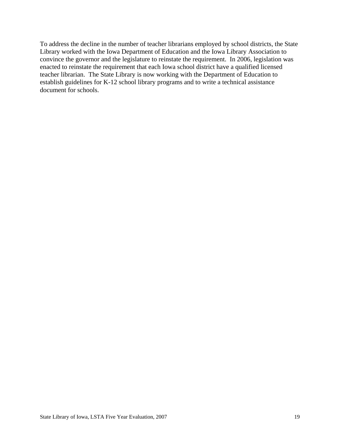To address the decline in the number of teacher librarians employed by school districts, the State Library worked with the Iowa Department of Education and the Iowa Library Association to convince the governor and the legislature to reinstate the requirement. In 2006, legislation was enacted to reinstate the requirement that each Iowa school district have a qualified licensed teacher librarian. The State Library is now working with the Department of Education to establish guidelines for K-12 school library programs and to write a technical assistance document for schools.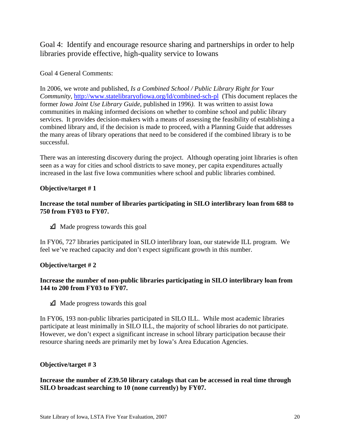Goal 4: Identify and encourage resource sharing and partnerships in order to help libraries provide effective, high-quality service to Iowans

# Goal 4 General Comments:

In 2006, we wrote and published, *Is a Combined School / Public Library Right for Your Community, http://www.statelibraryofiowa.org/ld/combined-sch-pl* (This document replaces the former *Iowa Joint Use Library Guide*, published in 1996*)*. It was written to assist Iowa communities in making informed decisions on whether to combine school and public library services. It provides decision-makers with a means of assessing the feasibility of establishing a combined library and, if the decision is made to proceed, with a Planning Guide that addresses the many areas of library operations that need to be considered if the combined library is to be successful.

There was an interesting discovery during the project. Although operating joint libraries is often seen as a way for cities and school districts to save money, per capita expenditures actually increased in the last five Iowa communities where school and public libraries combined.

# **Objective/target # 1**

### **Increase the total number of libraries participating in SILO interlibrary loan from 688 to 750 from FY03 to FY07.**

 $\triangle$  Made progress towards this goal

In FY06, 727 libraries participated in SILO interlibrary loan, our statewide ILL program. We feel we've reached capacity and don't expect significant growth in this number.

# **Objective/target # 2**

# **Increase the number of non-public libraries participating in SILO interlibrary loan from 144 to 200 from FY03 to FY07.**

 $\triangle$  Made progress towards this goal

In FY06, 193 non-public libraries participated in SILO ILL. While most academic libraries participate at least minimally in SILO ILL, the majority of school libraries do not participate. However, we don't expect a significant increase in school library participation because their resource sharing needs are primarily met by Iowa's Area Education Agencies.

# **Objective/target # 3**

**Increase the number of Z39.50 library catalogs that can be accessed in real time through SILO broadcast searching to 10 (none currently) by FY07.**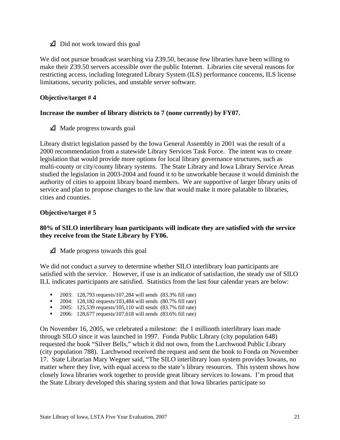$\triangle$  Did not work toward this goal

We did not pursue broadcast searching via Z39.50, because few libraries have been willing to make their Z39.50 servers accessible over the public Internet. Libraries cite several reasons for restricting access, including Integrated Library System (ILS) performance concerns, ILS license limitations, security policies, and unstable server software.

# **Objective/target # 4**

#### **Increase the number of library districts to 7 (none currently) by FY07.**

 $\triangle$  Made progress towards goal

Library district legislation passed by the Iowa General Assembly in 2001 was the result of a 2000 recommendation from a statewide Library Services Task Force. The intent was to create legislation that would provide more options for local library governance structures, such as multi-county or city/county library systems. The State Library and Iowa Library Service Areas studied the legislation in 2003-2004 and found it to be unworkable because it would diminish the authority of cities to appoint library board members. We are supportive of larger library units of service and plan to propose changes to the law that would make it more palatable to libraries, cities and counties.

#### **Objective/target # 5**

#### **80% of SILO interlibrary loan participants will indicate they are satisfied with the service they receive from the State Library by FY06.**

 $\triangle$  Made progress towards this goal

We did not conduct a survey to determine whether SILO interlibrary loan participants are satisfied with the service. However, if use is an indicator of satisfaction, the steady use of SILO ILL indicates participants are satisfied. Statistics from the last four calendar years are below:

- **2003:** 128,793 requests/107,284 will sends (83.3% fill rate)
- $\blacksquare$  2004: 128,182 requests/103,484 will sends (80.7% fill rate)
- **2005:** 125,539 requests/105,110 will sends (83.7% fill rate)
- **2006:** 128,677 requests/107,618 will sends (83.6% fill rate)

On November 16, 2005, we celebrated a milestone: the 1 millionth interlibrary loan made through SILO since it was launched in 1997. Fonda Public Library (city population 648) requested the book "Silver Bells," which it did not own, from the Larchwood Public Library (city population 788). Larchwood received the request and sent the book to Fonda on November 17. State Librarian Mary Wegner said, "The SILO interlibrary loan system provides Iowans, no matter where they live, with equal access to the state's library resources. This system shows how closely Iowa libraries work together to provide great library services to Iowans. I'm proud that the State Library developed this sharing system and that Iowa libraries participate so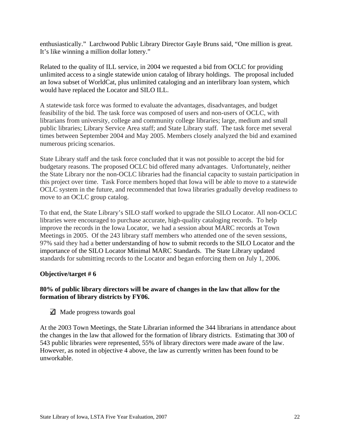enthusiastically." Larchwood Public Library Director Gayle Bruns said, "One million is great. It's like winning a million dollar lottery."

Related to the quality of ILL service, in 2004 we requested a bid from OCLC for providing unlimited access to a single statewide union catalog of library holdings. The proposal included an Iowa subset of WorldCat, plus unlimited cataloging and an interlibrary loan system, which would have replaced the Locator and SILO ILL.

A statewide task force was formed to evaluate the advantages, disadvantages, and budget feasibility of the bid. The task force was composed of users and non-users of OCLC, with librarians from university, college and community college libraries; large, medium and small public libraries; Library Service Area staff; and State Library staff. The task force met several times between September 2004 and May 2005. Members closely analyzed the bid and examined numerous pricing scenarios.

State Library staff and the task force concluded that it was not possible to accept the bid for budgetary reasons. The proposed OCLC bid offered many advantages. Unfortunately, neither the State Library nor the non-OCLC libraries had the financial capacity to sustain participation in this project over time. Task Force members hoped that Iowa will be able to move to a statewide OCLC system in the future, and recommended that Iowa libraries gradually develop readiness to move to an OCLC group catalog.

To that end, the State Library's SILO staff worked to upgrade the SILO Locator. All non-OCLC libraries were encouraged to purchase accurate, high-quality cataloging records. To help improve the records in the Iowa Locator, we had a session about MARC records at Town Meetings in 2005. Of the 243 library staff members who attended one of the seven sessions, 97% said they had a better understanding of how to submit records to the SILO Locator and the importance of the SILO Locator Minimal MARC Standards. The State Library updated standards for submitting records to the Locator and began enforcing them on July 1, 2006.

# **Objective/target # 6**

#### **80% of public library directors will be aware of changes in the law that allow for the formation of library districts by FY06.**

 $\Box$  Made progress towards goal

At the 2003 Town Meetings, the State Librarian informed the 344 librarians in attendance about the changes in the law that allowed for the formation of library districts. Estimating that 300 of 543 public libraries were represented, 55% of library directors were made aware of the law. However, as noted in objective 4 above, the law as currently written has been found to be unworkable.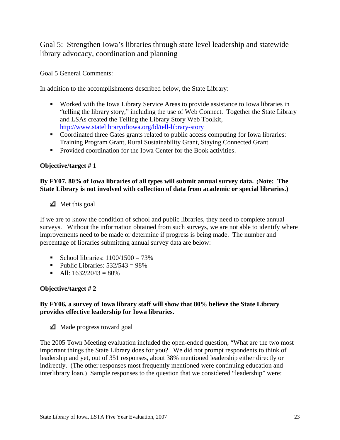Goal 5: Strengthen Iowa's libraries through state level leadership and statewide library advocacy, coordination and planning

Goal 5 General Comments:

In addition to the accomplishments described below, the State Library:

- Worked with the Iowa Library Service Areas to provide assistance to Iowa libraries in "telling the library story," including the use of Web Connect. Together the State Library and LSAs created the Telling the Library Story Web Toolkit, http://www.statelibraryofiowa.org/ld/tell-library-story
- Coordinated three Gates grants related to public access computing for Iowa libraries: Training Program Grant, Rural Sustainability Grant, Staying Connected Grant.
- **Provided coordination for the Iowa Center for the Book activities.**

#### **Objective/target # 1**

# **By FY07, 80% of Iowa libraries of all types will submit annual survey data. (Note: The State Library is not involved with collection of data from academic or special libraries.)**

 $\triangle$  Met this goal

If we are to know the condition of school and public libraries, they need to complete annual surveys. Without the information obtained from such surveys, we are not able to identify where improvements need to be made or determine if progress is being made. The number and percentage of libraries submitting annual survey data are below:

- School libraries:  $1100/1500 = 73\%$
- Public Libraries:  $532/543 = 98\%$
- All:  $1632/2043 = 80\%$

# **Objective/target # 2**

#### **By FY06, a survey of Iowa library staff will show that 80% believe the State Library provides effective leadership for Iowa libraries.**

 $\triangle$  Made progress toward goal

The 2005 Town Meeting evaluation included the open-ended question, "What are the two most important things the State Library does for you? We did not prompt respondents to think of leadership and yet, out of 351 responses, about 38% mentioned leadership either directly or indirectly. (The other responses most frequently mentioned were continuing education and interlibrary loan.) Sample responses to the question that we considered "leadership" were: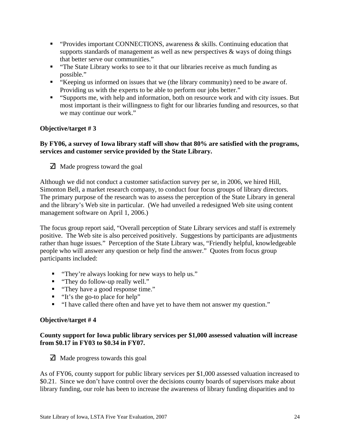- "Provides important CONNECTIONS, awareness & skills. Continuing education that supports standards of management as well as new perspectives & ways of doing things that better serve our communities."
- "The State Library works to see to it that our libraries receive as much funding as possible."
- "Keeping us informed on issues that we (the library community) need to be aware of. Providing us with the experts to be able to perform our jobs better."
- "Supports me, with help and information, both on resource work and with city issues. But most important is their willingness to fight for our libraries funding and resources, so that we may continue our work."

### **By FY06, a survey of Iowa library staff will show that 80% are satisfied with the programs, services and customer service provided by the State Library.**

 $\Box$  Made progress toward the goal

Although we did not conduct a customer satisfaction survey per se, in 2006, we hired Hill, Simonton Bell, a market research company, to conduct four focus groups of library directors. The primary purpose of the research was to assess the perception of the State Library in general and the library's Web site in particular. (We had unveiled a redesigned Web site using content management software on April 1, 2006.)

The focus group report said, "Overall perception of State Library services and staff is extremely positive. The Web site is also perceived positively. Suggestions by participants are adjustments rather than huge issues." Perception of the State Library was, "Friendly helpful, knowledgeable people who will answer any question or help find the answer." Quotes from focus group participants included:

- "They're always looking for new ways to help us."
- "They do follow-up really well."
- "They have a good response time."
- $\blacksquare$  "It's the go-to place for help"
- "I have called there often and have yet to have them not answer my question."

# **Objective/target # 4**

# **County support for Iowa public library services per \$1,000 assessed valuation will increase from \$0.17 in FY03 to \$0.34 in FY07.**

 $\Box$  Made progress towards this goal

As of FY06, county support for public library services per \$1,000 assessed valuation increased to \$0.21. Since we don't have control over the decisions county boards of supervisors make about library funding, our role has been to increase the awareness of library funding disparities and to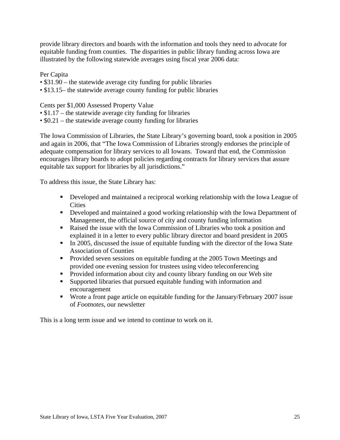provide library directors and boards with the information and tools they need to advocate for equitable funding from counties. The disparities in public library funding across Iowa are illustrated by the following statewide averages using fiscal year 2006 data:

Per Capita

- \$31.90 the statewide average city funding for public libraries
- \$13.15– the statewide average county funding for public libraries

#### Cents per \$1,000 Assessed Property Value

- \$1.17 the statewide average city funding for libraries
- \$0.21 the statewide average county funding for libraries

The Iowa Commission of Libraries, the State Library's governing board, took a position in 2005 and again in 2006, that "The Iowa Commission of Libraries strongly endorses the principle of adequate compensation for library services to all Iowans. Toward that end, the Commission encourages library boards to adopt policies regarding contracts for library services that assure equitable tax support for libraries by all jurisdictions."

To address this issue, the State Library has:

- Developed and maintained a reciprocal working relationship with the Iowa League of **Cities**
- Developed and maintained a good working relationship with the Iowa Department of Management, the official source of city and county funding information
- Raised the issue with the Iowa Commission of Libraries who took a position and explained it in a letter to every public library director and board president in 2005
- In 2005, discussed the issue of equitable funding with the director of the Iowa State Association of Counties
- **Provided seven sessions on equitable funding at the 2005 Town Meetings and** provided one evening session for trustees using video teleconferencing
- Provided information about city and county library funding on our Web site
- Supported libraries that pursued equitable funding with information and encouragement
- Wrote a front page article on equitable funding for the January/February 2007 issue of *Footnotes*, our newsletter

This is a long term issue and we intend to continue to work on it.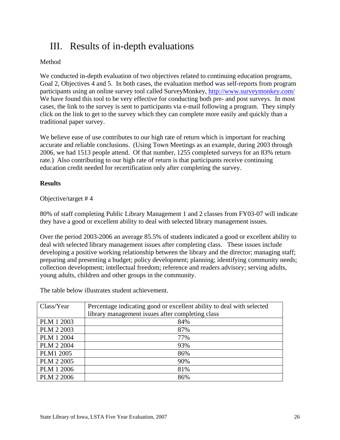# III. Results of in-depth evaluations

# Method

We conducted in-depth evaluation of two objectives related to continuing education programs, Goal 2, Objectives 4 and 5. In both cases, the evaluation method was self-reports from program participants using an online survey tool called SurveyMonkey, http://www.surveymonkey.com/ We have found this tool to be very effective for conducting both pre- and post surveys. In most cases, the link to the survey is sent to participants via e-mail following a program. They simply click on the link to get to the survey which they can complete more easily and quickly than a traditional paper survey.

We believe ease of use contributes to our high rate of return which is important for reaching accurate and reliable conclusions. (Using Town Meetings as an example, during 2003 through 2006, we had 1513 people attend. Of that number, 1255 completed surveys for an 83% return rate.) Also contributing to our high rate of return is that participants receive continuing education credit needed for recertification only after completing the survey.

# **Results**

# Objective/target # 4

80% of staff completing Public Library Management 1 and 2 classes from FY03-07 will indicate they have a good or excellent ability to deal with selected library management issues.

Over the period 2003-2006 an average 85.5% of students indicated a good or excellent ability to deal with selected library management issues after completing class. These issues include developing a positive working relationship between the library and the director; managing staff; preparing and presenting a budget; policy development; planning; identifying community needs; collection development; intellectual freedom; reference and readers advisory; serving adults, young adults, children and other groups in the community.

The table below illustrates student achievement.

| Class/Year        | Percentage indicating good or excellent ability to deal with selected |
|-------------------|-----------------------------------------------------------------------|
|                   | library management issues after completing class                      |
| PLM 1 2003        | 84%                                                                   |
| PLM 2 2003        | 87%                                                                   |
| PLM 1 2004        | 77%                                                                   |
| PLM 2 2004        | 93%                                                                   |
| <b>PLM1 2005</b>  | 86%                                                                   |
| PLM 2 2005        | 90%                                                                   |
| <b>PLM 1 2006</b> | 81%                                                                   |
| <b>PLM 2 2006</b> | 86%                                                                   |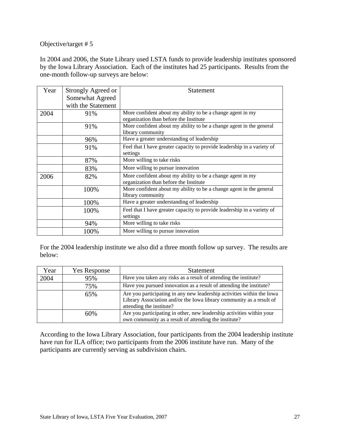In 2004 and 2006, the State Library used LSTA funds to provide leadership institutes sponsored by the Iowa Library Association. Each of the institutes had 25 participants. Results from the one-month follow-up surveys are below:

| Year | Strongly Agreed or | Statement                                                                                            |
|------|--------------------|------------------------------------------------------------------------------------------------------|
|      | Somewhat Agreed    |                                                                                                      |
|      | with the Statement |                                                                                                      |
| 2004 | 91%                | More confident about my ability to be a change agent in my<br>organization than before the Institute |
|      | 91%                | More confident about my ability to be a change agent in the general<br>library community             |
|      | 96%                | Have a greater understanding of leadership                                                           |
|      | 91%                | Feel that I have greater capacity to provide leadership in a variety of<br>settings                  |
|      | 87%                | More willing to take risks                                                                           |
|      | 83%                | More willing to pursue innovation                                                                    |
| 2006 | 82%                | More confident about my ability to be a change agent in my<br>organization than before the Institute |
|      | 100%               | More confident about my ability to be a change agent in the general<br>library community             |
|      | 100%               | Have a greater understanding of leadership                                                           |
|      | 100%               | Feel that I have greater capacity to provide leadership in a variety of<br>settings                  |
|      | 94%                | More willing to take risks                                                                           |
|      | 100%               | More willing to pursue innovation                                                                    |

For the 2004 leadership institute we also did a three month follow up survey. The results are below:

| Year | <b>Yes Response</b> | <b>Statement</b>                                                       |
|------|---------------------|------------------------------------------------------------------------|
| 2004 | 95%                 | Have you taken any risks as a result of attending the institute?       |
|      | 75%                 | Have you pursued innovation as a result of attending the institute?    |
|      | 65%                 | Are you participating in any new leadership activities within the Iowa |
|      |                     | Library Association and/or the Iowa library community as a result of   |
|      |                     | attending the institute?                                               |
|      | 60%                 | Are you participating in other, new leadership activities within your  |
|      |                     | own community as a result of attending the institute?                  |

According to the Iowa Library Association, four participants from the 2004 leadership institute have run for ILA office; two participants from the 2006 institute have run. Many of the participants are currently serving as subdivision chairs.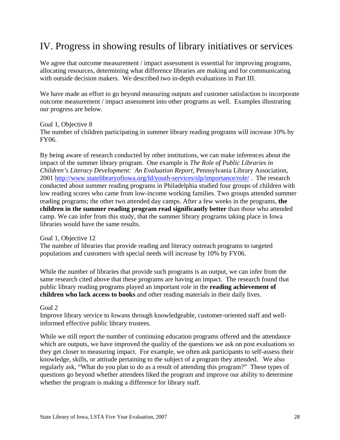# IV. Progress in showing results of library initiatives or services

We agree that outcome measurement / impact assessment is essential for improving programs, allocating resources, determining what difference libraries are making and for communicating with outside decision makers. We described two in-depth evaluations in Part III.

We have made an effort to go beyond measuring outputs and customer satisfaction to incorporate outcome measurement / impact assessment into other programs as well. Examples illustrating our progress are below.

Goal 1, Objective 8

The number of children participating in summer library reading programs will increase 10% by FY06.

By being aware of research conducted by other institutions, we can make inferences about the impact of the summer library program. One example is *The Role of Public Libraries in Children's Literacy Development: An Evaluation Report*, Pennsylvania Library Association, 2001 http://www.statelibraryofiowa.org/ld/youth-services/slp/importance/role/ . The research conducted about summer reading programs in Philadelphia studied four groups of children with low reading scores who came from low-income working families. Two groups attended summer reading programs; the other two attended day camps. After a few weeks in the programs, **the children in the summer reading program read significantly better** than those who attended camp. We can infer from this study, that the summer library programs taking place in Iowa libraries would have the same results.

Goal 1, Objective 12

The number of libraries that provide reading and literacy outreach programs to targeted populations and customers with special needs will increase by 10% by FY06.

While the number of libraries that provide such programs is an output, we can infer from the same research cited above that these programs are having an impact. The research found that public library reading programs played an important role in the **reading achievement of children who lack access to books** and other reading materials in their daily lives.

Goal 2

Improve library service to Iowans through knowledgeable, customer-oriented staff and wellinformed effective public library trustees.

While we still report the number of continuing education programs offered and the attendance which are outputs, we have improved the quality of the questions we ask on post evaluations so they get closer to measuring impact. For example, we often ask participants to self-assess their knowledge, skills, or attitude pertaining to the subject of a program they attended. We also regularly ask, "What do you plan to do as a result of attending this program?" These types of questions go beyond whether attendees liked the program and improve our ability to determine whether the program is making a difference for library staff.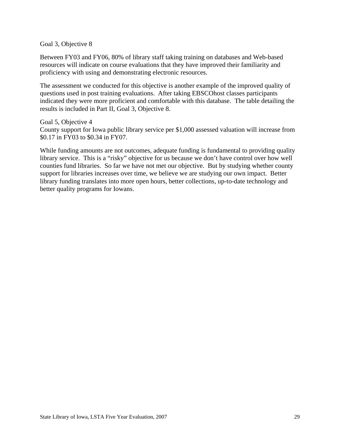Goal 3, Objective 8

Between FY03 and FY06, 80% of library staff taking training on databases and Web-based resources will indicate on course evaluations that they have improved their familiarity and proficiency with using and demonstrating electronic resources.

The assessment we conducted for this objective is another example of the improved quality of questions used in post training evaluations. After taking EBSCOhost classes participants indicated they were more proficient and comfortable with this database. The table detailing the results is included in Part II, Goal 3, Objective 8.

Goal 5, Objective 4 County support for Iowa public library service per \$1,000 assessed valuation will increase from \$0.17 in FY03 to \$0.34 in FY07.

While funding amounts are not outcomes, adequate funding is fundamental to providing quality library service. This is a "risky" objective for us because we don't have control over how well counties fund libraries. So far we have not met our objective. But by studying whether county support for libraries increases over time, we believe we are studying our own impact. Better library funding translates into more open hours, better collections, up-to-date technology and better quality programs for Iowans.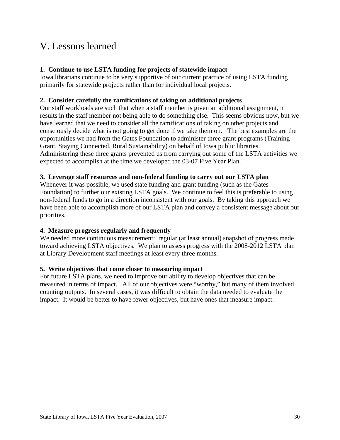# V. Lessons learned

# **1. Continue to use LSTA funding for projects of statewide impact**

Iowa librarians continue to be very supportive of our current practice of using LSTA funding primarily for statewide projects rather than for individual local projects.

# **2. Consider carefully the ramifications of taking on additional projects**

Our staff workloads are such that when a staff member is given an additional assignment, it results in the staff member not being able to do something else. This seems obvious now, but we have learned that we need to consider all the ramifications of taking on other projects and consciously decide what is not going to get done if we take them on. The best examples are the opportunities we had from the Gates Foundation to administer three grant programs (Training Grant, Staying Connected, Rural Sustainability) on behalf of Iowa public libraries. Administering these three grants prevented us from carrying out some of the LSTA activities we expected to accomplish at the time we developed the 03-07 Five Year Plan.

# **3. Leverage staff resources and non-federal funding to carry out our LSTA plan**

Whenever it was possible, we used state funding and grant funding (such as the Gates Foundation) to further our existing LSTA goals. We continue to feel this is preferable to using non-federal funds to go in a direction inconsistent with our goals. By taking this approach we have been able to accomplish more of our LSTA plan and convey a consistent message about our priorities.

# **4. Measure progress regularly and frequently**

We needed more continuous measurement: regular (at least annual) snapshot of progress made toward achieving LSTA objectives. We plan to assess progress with the 2008-2012 LSTA plan at Library Development staff meetings at least every three months.

# **5. Write objectives that come closer to measuring impact**

For future LSTA plans, we need to improve our ability to develop objectives that can be measured in terms of impact. All of our objectives were "worthy," but many of them involved counting outputs. In several cases, it was difficult to obtain the data needed to evaluate the impact. It would be better to have fewer objectives, but have ones that measure impact.